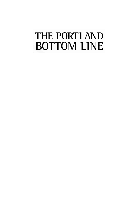## THE PORTLAND **BOTTOM LINE**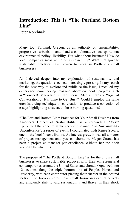## **Introduction: This Is "The Portland Bottom Line"**

Peter Korchnak

Many tout Portland, Oregon, as an authority on sustainability: progressive urbanism and land-use; alternative transportation; environmental policy; livability. But what about business? How do local companies measure up on sustainability? What cutting-edge sustainable practices have proven to work in Portland's small businesses?

As I delved deeper into my exploration of sustainability and marketing, the questions seemed increasingly pressing. In my search for the best way to explore and publicize the issue, I recalled my experience co-authoring mass-collaboration book projects such as "Connect! Marketing in the Social Media Era" and "Age of Conversation 3: It's Time to Get Busy". Could I employ the same crowdsourcing technique of co-creation to produce a collection of essays highlighting answers to those burning questions?

"The Portland Bottom Line: Practices for Your Small Business from America's Hotbed of Sustainability" is a resounding, "Yes!" I presented the concept at the second "Beyond 2020 Sustainability Unconference", a series of events I coordinated with Renee Spears, one of the book's contributors. As interest grew, it was all a matter of project management and, yes, collaboration. Megan Strand has been a project co-manager par excellence. Without her, the book wouldn't be what it is.

The purpose of "The Portland Bottom Line" is for the city's small businesses to share sustainable practices with their entrepreneurial contemporaries around the United States and abroad. Organized into 12 sections along the triple bottom line of People, Planet, and Prosperity, with each contributor placing their chapter in the desired section, the book explores how small businesses can effectively and efficiently shift toward sustainability and thrive. In their short,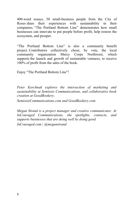400-word essays, 50 small-business people from the City of Roses share their experiences with sustainability in their companies. "The Portland Bottom Line" demonstrates how small businesses can innovate to put people before profit, help restore the ecosystem, and prosper.

"The Portland Bottom Line" is also a community benefit project. Contributors collectively chose, by vote, the local community organization Mercy Corps Northwest, which supports the launch and growth of sustainable ventures, to receive 100% of profit from the sales of the book.

Enjoy "The Portland Bottom Line"!

*Peter Korchnak explores the intersection of marketing and sustainability at Semiosis Communications, and collaborative book creation at GoodBookery.* 

*SemiosisCommunications.com and GoodBookery.com*

*Megan Strand is a project manager and creative communicator. At InCouraged Communications, she spotlights, connects, and supports businesses that are doing well by doing good. InCouraged.com | @meganstrand*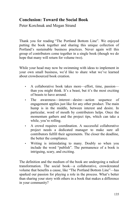## **Conclusion: Toward the Social Book**

Peter Korchnak and Megan Strand

Thank you for reading "The Portland Bottom Line". We enjoyed putting the book together and sharing this unique collection of Portland's sustainable business practices. Never again will this group of contributors come together in a single book (though we do hope that many will return for volume two).

While your head may now be swimming with ideas to implement in your own small business, we'd like to share what we've learned about crowdsourced book creation.

- A collaborative book takes more—effort, time, passion than you might think. It's a beast, but it's the most exciting of beasts to have around.
- The awareness—interest—desire—action sequence of engagement applies just like for any other product. The main hump is in the middle, between interest and desire. In particular, word of mouth by contributors helps. Once the momentum gathers and the project tips, which can take a while, you're rolling.
- A crowd requires coordination. A successful collaborative project needs a dedicated manager to make sure all contributors fulfill their agreements. The closer the deadline, the better the compliance.
- Writing is intimidating to many. Doubly so when you include the word "publish". The permanence of a book is intriguing, scary, and exciting.

The definition and the medium of the book are undergoing a radical transformation. The social book—a collaborative, crowdcreated volume that benefits a cause, like "The Portland Bottom Line"—has sparked our passion for playing a role in the process. What's better than sharing your story with others in a book that makes a difference in your community?